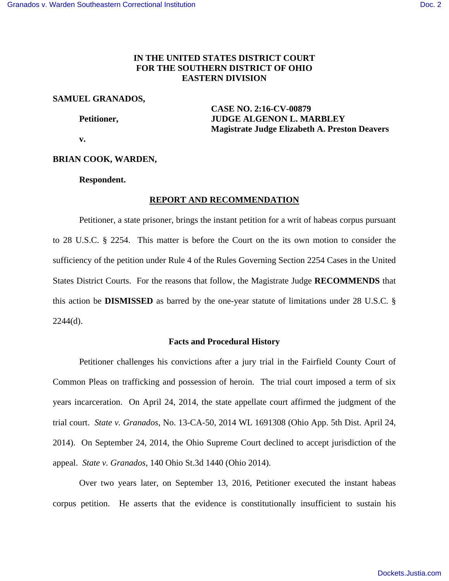# **IN THE UNITED STATES DISTRICT COURT FOR THE SOUTHERN DISTRICT OF OHIO EASTERN DIVISION**

## **SAMUEL GRANADOS,**

 **CASE NO. 2:16-CV-00879 Petitioner, JUDGE ALGENON L. MARBLEY Magistrate Judge Elizabeth A. Preston Deavers** 

 **v.** 

## **BRIAN COOK, WARDEN,**

 **Respondent.** 

## **REPORT AND RECOMMENDATION**

 Petitioner, a state prisoner, brings the instant petition for a writ of habeas corpus pursuant to 28 U.S.C. § 2254. This matter is before the Court on the its own motion to consider the sufficiency of the petition under Rule 4 of the Rules Governing Section 2254 Cases in the United States District Courts. For the reasons that follow, the Magistrate Judge **RECOMMENDS** that this action be **DISMISSED** as barred by the one-year statute of limitations under 28 U.S.C. §  $2244(d)$ .

### **Facts and Procedural History**

 Petitioner challenges his convictions after a jury trial in the Fairfield County Court of Common Pleas on trafficking and possession of heroin. The trial court imposed a term of six years incarceration. On April 24, 2014, the state appellate court affirmed the judgment of the trial court. *State v. Granados*, No. 13-CA-50, 2014 WL 1691308 (Ohio App. 5th Dist. April 24, 2014). On September 24, 2014, the Ohio Supreme Court declined to accept jurisdiction of the appeal. *State v. Granados*, 140 Ohio St.3d 1440 (Ohio 2014).

 Over two years later, on September 13, 2016, Petitioner executed the instant habeas corpus petition. He asserts that the evidence is constitutionally insufficient to sustain his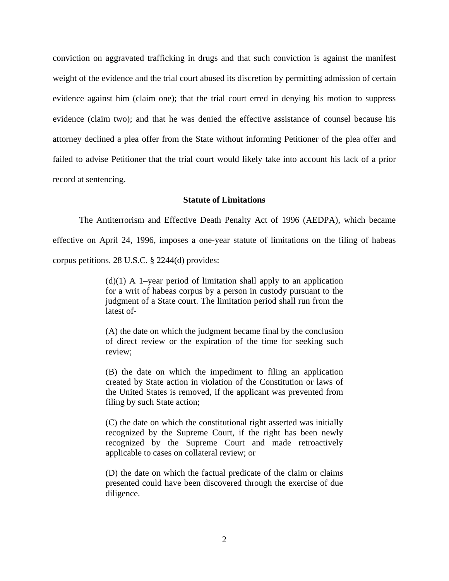conviction on aggravated trafficking in drugs and that such conviction is against the manifest weight of the evidence and the trial court abused its discretion by permitting admission of certain evidence against him (claim one); that the trial court erred in denying his motion to suppress evidence (claim two); and that he was denied the effective assistance of counsel because his attorney declined a plea offer from the State without informing Petitioner of the plea offer and failed to advise Petitioner that the trial court would likely take into account his lack of a prior record at sentencing.

## **Statute of Limitations**

The Antiterrorism and Effective Death Penalty Act of 1996 (AEDPA), which became effective on April 24, 1996, imposes a one-year statute of limitations on the filing of habeas corpus petitions. 28 U.S.C. § 2244(d) provides:

> $(d)(1)$  A 1–year period of limitation shall apply to an application for a writ of habeas corpus by a person in custody pursuant to the judgment of a State court. The limitation period shall run from the latest of-

> (A) the date on which the judgment became final by the conclusion of direct review or the expiration of the time for seeking such review;

> (B) the date on which the impediment to filing an application created by State action in violation of the Constitution or laws of the United States is removed, if the applicant was prevented from filing by such State action;

> (C) the date on which the constitutional right asserted was initially recognized by the Supreme Court, if the right has been newly recognized by the Supreme Court and made retroactively applicable to cases on collateral review; or

> (D) the date on which the factual predicate of the claim or claims presented could have been discovered through the exercise of due diligence.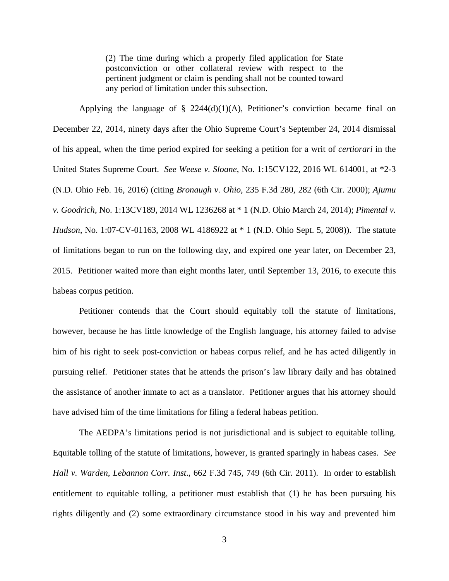(2) The time during which a properly filed application for State postconviction or other collateral review with respect to the pertinent judgment or claim is pending shall not be counted toward any period of limitation under this subsection.

Applying the language of  $\S$  2244(d)(1)(A), Petitioner's conviction became final on December 22, 2014, ninety days after the Ohio Supreme Court's September 24, 2014 dismissal of his appeal, when the time period expired for seeking a petition for a writ of *certiorari* in the United States Supreme Court. *See Weese v. Sloane*, No. 1:15CV122, 2016 WL 614001, at \*2-3 (N.D. Ohio Feb. 16, 2016) (citing *Bronaugh v. Ohio*, 235 F.3d 280, 282 (6th Cir. 2000); *Ajumu v. Goodrich*, No. 1:13CV189, 2014 WL 1236268 at \* 1 (N.D. Ohio March 24, 2014); *Pimental v. Hudson*, No. 1:07-CV-01163, 2008 WL 4186922 at \* 1 (N.D. Ohio Sept. 5, 2008)). The statute of limitations began to run on the following day, and expired one year later, on December 23, 2015. Petitioner waited more than eight months later, until September 13, 2016, to execute this habeas corpus petition.

 Petitioner contends that the Court should equitably toll the statute of limitations, however, because he has little knowledge of the English language, his attorney failed to advise him of his right to seek post-conviction or habeas corpus relief, and he has acted diligently in pursuing relief. Petitioner states that he attends the prison's law library daily and has obtained the assistance of another inmate to act as a translator. Petitioner argues that his attorney should have advised him of the time limitations for filing a federal habeas petition.

The AEDPA's limitations period is not jurisdictional and is subject to equitable tolling. Equitable tolling of the statute of limitations, however, is granted sparingly in habeas cases. *See Hall v. Warden, Lebannon Corr. Inst*., 662 F.3d 745, 749 (6th Cir. 2011). In order to establish entitlement to equitable tolling, a petitioner must establish that (1) he has been pursuing his rights diligently and (2) some extraordinary circumstance stood in his way and prevented him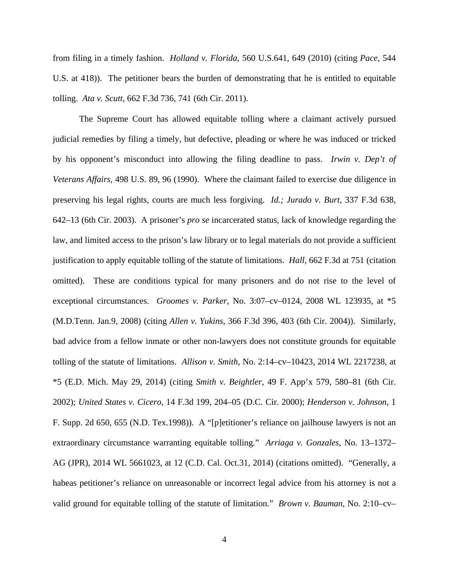from filing in a timely fashion. *Holland v. Florida*, 560 U.S.641, 649 (2010) (citing *Pace,* 544 U.S. at 418)). The petitioner bears the burden of demonstrating that he is entitled to equitable tolling. *Ata v. Scutt*, 662 F.3d 736, 741 (6th Cir. 2011).

The Supreme Court has allowed equitable tolling where a claimant actively pursued judicial remedies by filing a timely, but defective, pleading or where he was induced or tricked by his opponent's misconduct into allowing the filing deadline to pass. *Irwin v. Dep't of Veterans Affairs*, 498 U.S. 89, 96 (1990). Where the claimant failed to exercise due diligence in preserving his legal rights, courts are much less forgiving. *Id.; Jurado v. Burt*, 337 F.3d 638, 642–13 (6th Cir. 2003). A prisoner's *pro se* incarcerated status, lack of knowledge regarding the law, and limited access to the prison's law library or to legal materials do not provide a sufficient justification to apply equitable tolling of the statute of limitations. *Hall*, 662 F.3d at 751 (citation omitted). These are conditions typical for many prisoners and do not rise to the level of exceptional circumstances. *Groomes v. Parker*, No. 3:07–cv–0124, 2008 WL 123935, at \*5 (M.D.Tenn. Jan.9, 2008) (citing *Allen v. Yukins*, 366 F.3d 396, 403 (6th Cir. 2004)). Similarly, bad advice from a fellow inmate or other non-lawyers does not constitute grounds for equitable tolling of the statute of limitations. *Allison v. Smith*, No. 2:14–cv–10423, 2014 WL 2217238, at \*5 (E.D. Mich. May 29, 2014) (citing *Smith v. Beightler*, 49 F. App'x 579, 580–81 (6th Cir. 2002); *United States v. Cicero*, 14 F.3d 199, 204–05 (D.C. Cir. 2000); *Henderson v. Johnson*, 1 F. Supp. 2d 650, 655 (N.D. Tex.1998)). A "[p]etitioner's reliance on jailhouse lawyers is not an extraordinary circumstance warranting equitable tolling." *Arriaga v. Gonzales*, No. 13–1372– AG (JPR), 2014 WL 5661023, at 12 (C.D. Cal. Oct.31, 2014) (citations omitted). "Generally, a habeas petitioner's reliance on unreasonable or incorrect legal advice from his attorney is not a valid ground for equitable tolling of the statute of limitation." *Brown v. Bauman*, No. 2:10–cv–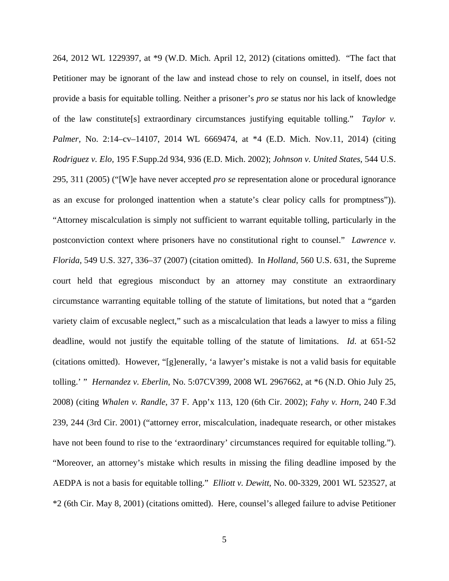264, 2012 WL 1229397, at \*9 (W.D. Mich. April 12, 2012) (citations omitted). "The fact that Petitioner may be ignorant of the law and instead chose to rely on counsel, in itself, does not provide a basis for equitable tolling. Neither a prisoner's *pro se* status nor his lack of knowledge of the law constitute[s] extraordinary circumstances justifying equitable tolling." *Taylor v. Palmer,* No. 2:14–cv–14107, 2014 WL 6669474, at \*4 (E.D. Mich. Nov.11, 2014) (citing *Rodriguez v. Elo,* 195 F.Supp.2d 934, 936 (E.D. Mich. 2002); *Johnson v. United States*, 544 U.S. 295, 311 (2005) ("[W]e have never accepted *pro se* representation alone or procedural ignorance as an excuse for prolonged inattention when a statute's clear policy calls for promptness")). "Attorney miscalculation is simply not sufficient to warrant equitable tolling, particularly in the postconviction context where prisoners have no constitutional right to counsel." *Lawrence v. Florida,* 549 U.S. 327, 336–37 (2007) (citation omitted). In *Holland*, 560 U.S. 631, the Supreme court held that egregious misconduct by an attorney may constitute an extraordinary circumstance warranting equitable tolling of the statute of limitations, but noted that a "garden variety claim of excusable neglect," such as a miscalculation that leads a lawyer to miss a filing deadline, would not justify the equitable tolling of the statute of limitations. *Id*. at 651-52 (citations omitted). However, "[g]enerally, 'a lawyer's mistake is not a valid basis for equitable tolling.' " *Hernandez v. Eberlin*, No. 5:07CV399, 2008 WL 2967662, at \*6 (N.D. Ohio July 25, 2008) (citing *Whalen v. Randle*, 37 F. App'x 113, 120 (6th Cir. 2002); *Fahy v. Horn*, 240 F.3d 239, 244 (3rd Cir. 2001) ("attorney error, miscalculation, inadequate research, or other mistakes have not been found to rise to the 'extraordinary' circumstances required for equitable tolling."). "Moreover, an attorney's mistake which results in missing the filing deadline imposed by the AEDPA is not a basis for equitable tolling." *Elliott v. Dewitt*, No. 00-3329, 2001 WL 523527, at \*2 (6th Cir. May 8, 2001) (citations omitted). Here, counsel's alleged failure to advise Petitioner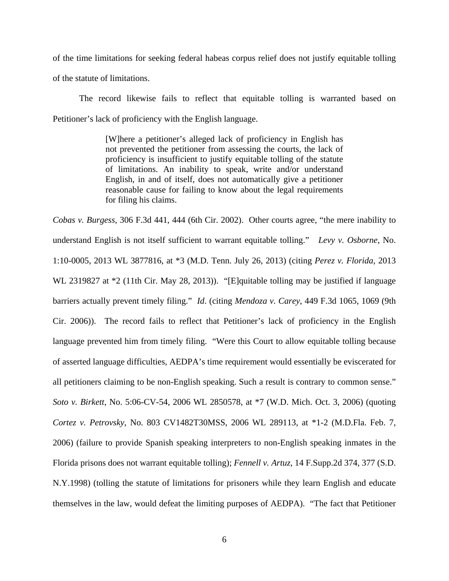of the time limitations for seeking federal habeas corpus relief does not justify equitable tolling of the statute of limitations.

The record likewise fails to reflect that equitable tolling is warranted based on Petitioner's lack of proficiency with the English language.

> [W]here a petitioner's alleged lack of proficiency in English has not prevented the petitioner from assessing the courts, the lack of proficiency is insufficient to justify equitable tolling of the statute of limitations. An inability to speak, write and/or understand English, in and of itself, does not automatically give a petitioner reasonable cause for failing to know about the legal requirements for filing his claims.

*Cobas v. Burgess,* 306 F.3d 441, 444 (6th Cir. 2002). Other courts agree, "the mere inability to understand English is not itself sufficient to warrant equitable tolling." *Levy v. Osborne*, No. 1:10-0005, 2013 WL 3877816, at \*3 (M.D. Tenn. July 26, 2013) (citing *Perez v. Florida*, 2013 WL 2319827 at \*2 (11th Cir. May 28, 2013)). "[E]quitable tolling may be justified if language barriers actually prevent timely filing." *Id*. (citing *Mendoza v. Carey*, 449 F.3d 1065, 1069 (9th Cir. 2006)). The record fails to reflect that Petitioner's lack of proficiency in the English language prevented him from timely filing. "Were this Court to allow equitable tolling because of asserted language difficulties, AEDPA's time requirement would essentially be eviscerated for all petitioners claiming to be non-English speaking. Such a result is contrary to common sense." *Soto v. Birkett*, No. 5:06-CV-54, 2006 WL 2850578, at \*7 (W.D. Mich. Oct. 3, 2006) (quoting *Cortez v. Petrovsky*, No. 803 CV1482T30MSS, 2006 WL 289113, at \*1-2 (M.D.Fla. Feb. 7, 2006) (failure to provide Spanish speaking interpreters to non-English speaking inmates in the Florida prisons does not warrant equitable tolling); *Fennell v. Artuz*, 14 F.Supp.2d 374, 377 (S.D. N.Y.1998) (tolling the statute of limitations for prisoners while they learn English and educate themselves in the law, would defeat the limiting purposes of AEDPA). "The fact that Petitioner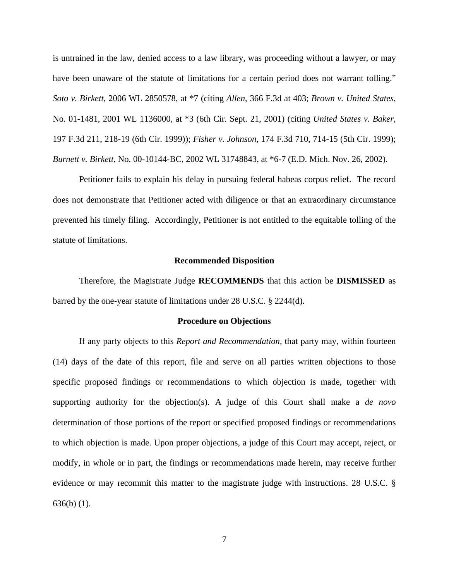is untrained in the law, denied access to a law library, was proceeding without a lawyer, or may have been unaware of the statute of limitations for a certain period does not warrant tolling." *Soto v. Birkett*, 2006 WL 2850578, at \*7 (citing *Allen*, 366 F.3d at 403; *Brown v. United States*, No. 01-1481, 2001 WL 1136000, at \*3 (6th Cir. Sept. 21, 2001) (citing *United States v. Baker*, 197 F.3d 211, 218-19 (6th Cir. 1999)); *Fisher v. Johnson*, 174 F.3d 710, 714-15 (5th Cir. 1999); *Burnett v. Birkett*, No. 00-10144-BC, 2002 WL 31748843, at \*6-7 (E.D. Mich. Nov. 26, 2002).

Petitioner fails to explain his delay in pursuing federal habeas corpus relief. The record does not demonstrate that Petitioner acted with diligence or that an extraordinary circumstance prevented his timely filing. Accordingly, Petitioner is not entitled to the equitable tolling of the statute of limitations.

### **Recommended Disposition**

 Therefore, the Magistrate Judge **RECOMMENDS** that this action be **DISMISSED** as barred by the one-year statute of limitations under 28 U.S.C. § 2244(d).

#### **Procedure on Objections**

If any party objects to this *Report and Recommendation*, that party may, within fourteen (14) days of the date of this report, file and serve on all parties written objections to those specific proposed findings or recommendations to which objection is made, together with supporting authority for the objection(s). A judge of this Court shall make a *de novo* determination of those portions of the report or specified proposed findings or recommendations to which objection is made. Upon proper objections, a judge of this Court may accept, reject, or modify, in whole or in part, the findings or recommendations made herein, may receive further evidence or may recommit this matter to the magistrate judge with instructions. 28 U.S.C. § 636(b) (1).